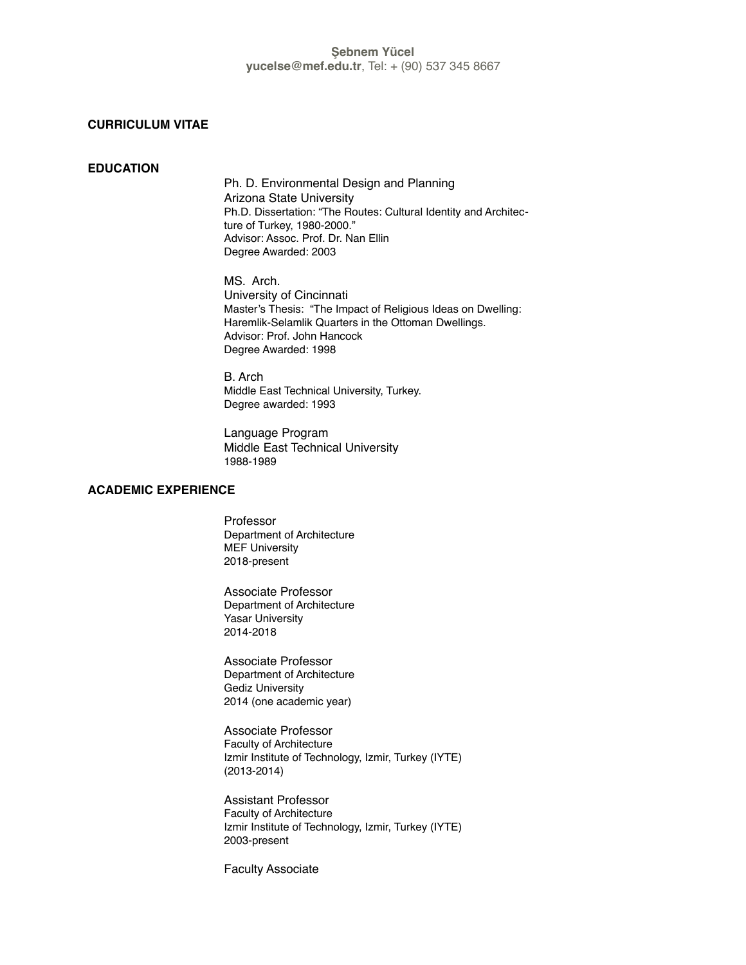## **CURRICULUM VITAE**

### **EDUCATION**

Ph. D. Environmental Design and Planning Arizona State University Ph.D. Dissertation: "The Routes: Cultural Identity and Architecture of Turkey, 1980-2000." Advisor: Assoc. Prof. Dr. Nan Ellin Degree Awarded: 2003

MS. Arch. University of Cincinnati Master's Thesis: "The Impact of Religious Ideas on Dwelling: Haremlik-Selamlik Quarters in the Ottoman Dwellings. Advisor: Prof. John Hancock Degree Awarded: 1998

B. Arch Middle East Technical University, Turkey. Degree awarded: 1993

Language Program Middle East Technical University 1988-1989

## **ACADEMIC EXPERIENCE**

Professor Department of Architecture MEF University 2018-present

Associate Professor Department of Architecture Yasar University 2014-2018

Associate Professor Department of Architecture Gediz University 2014 (one academic year)

Associate Professor Faculty of Architecture Izmir Institute of Technology, Izmir, Turkey (IYTE) (2013-2014)

Assistant Professor Faculty of Architecture Izmir Institute of Technology, Izmir, Turkey (IYTE) 2003-present

Faculty Associate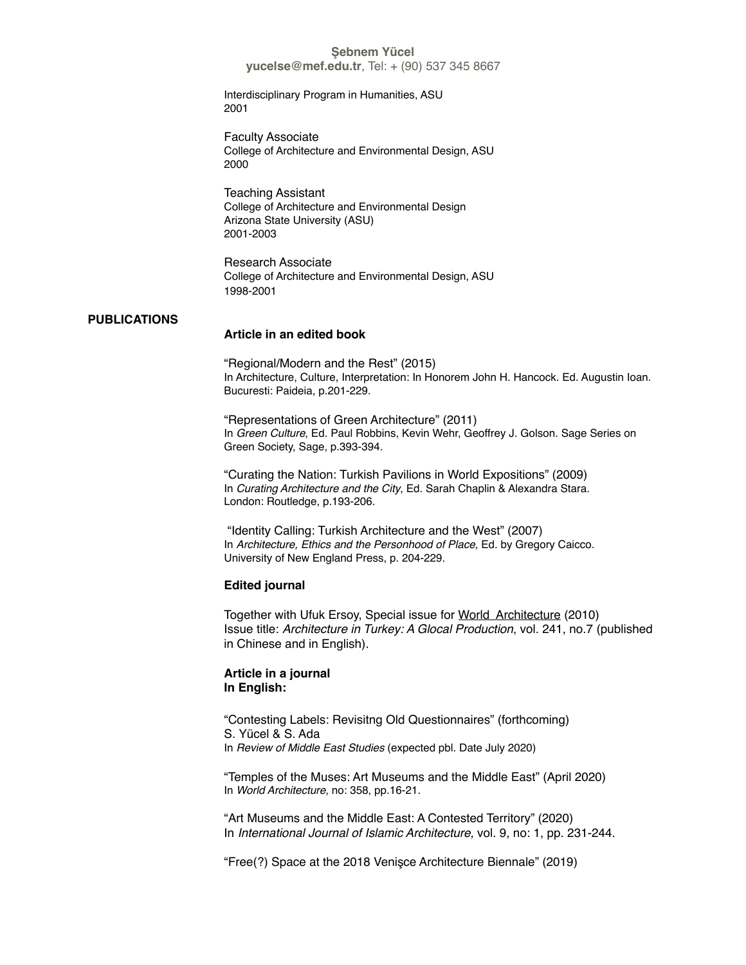**yucelse@mef.edu.tr**, Tel: + (90) 537 345 8667

Interdisciplinary Program in Humanities, ASU 2001

Faculty Associate College of Architecture and Environmental Design, ASU 2000

Teaching Assistant College of Architecture and Environmental Design Arizona State University (ASU) 2001-2003

Research Associate College of Architecture and Environmental Design, ASU 1998-2001

#### **PUBLICATIONS**

#### **Article in an edited book**

"Regional/Modern and the Rest" (2015) In Architecture, Culture, Interpretation: In Honorem John H. Hancock. Ed. Augustin Ioan. Bucuresti: Paideia, p.201-229.

"Representations of Green Architecture" (2011) In *Green Culture*, Ed. Paul Robbins, Kevin Wehr, Geoffrey J. Golson. Sage Series on Green Society, Sage, p.393-394.

"Curating the Nation: Turkish Pavilions in World Expositions" (2009) In *Curating Architecture and the City*, Ed. Sarah Chaplin & Alexandra Stara. London: Routledge, p.193-206.

 "Identity Calling: Turkish Architecture and the West" (2007) In *Architecture, Ethics and the Personhood of Place,* Ed. by Gregory Caicco. University of New England Press, p. 204-229.

#### **Edited journal**

Together with Ufuk Ersoy, Special issue for World Architecture (2010) Issue title: *Architecture in Turkey: A Glocal Production*, vol. 241, no.7 (published in Chinese and in English).

## **Article in a journal In English:**

"Contesting Labels: Revisitng Old Questionnaires" (forthcoming) S. Yücel & S. Ada In *Review of Middle East Studies* (expected pbl. Date July 2020)

"Temples of the Muses: Art Museums and the Middle East" (April 2020) In *World Architecture*, no: 358, pp.16-21.

"Art Museums and the Middle East: A Contested Territory" (2020) In *International Journal of Islamic Architecture,* vol. 9, no: 1, pp. 231-244.

"Free(?) Space at the 2018 Venişce Architecture Biennale" (2019)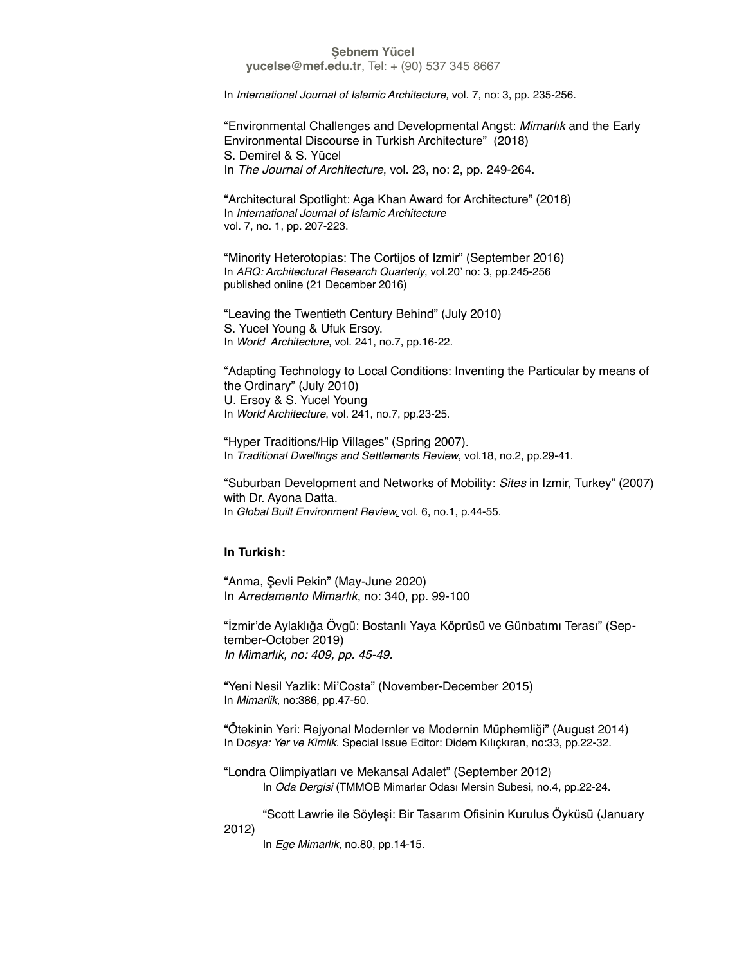**yucelse@mef.edu.tr**, Tel: + (90) 537 345 8667

In *International Journal of Islamic Architecture,* vol. 7, no: 3, pp. 235-256.

"Environmental Challenges and Developmental Angst: *Mimarlık* and the Early Environmental Discourse in Turkish Architecture" (2018) S. Demirel & S. Yücel In *The Journal of Architecture*, vol. 23, no: 2, pp. 249-264.

"Architectural Spotlight: Aga Khan Award for Architecture" (2018) In *International Journal of Islamic Architecture* vol. 7, no. 1, pp. 207-223.

"Minority Heterotopias: The Cortijos of Izmir" (September 2016) In *ARQ: Architectural Research Quarterly*, vol.20' no: 3, pp.245-256 published online (21 December 2016)

"Leaving the Twentieth Century Behind" (July 2010) S. Yucel Young & Ufuk Ersoy. In *World Architecture*, vol. 241, no.7, pp.16-22.

"Adapting Technology to Local Conditions: Inventing the Particular by means of the Ordinary" (July 2010) U. Ersoy & S. Yucel Young In *World Architecture*, vol. 241, no.7, pp.23-25.

"Hyper Traditions/Hip Villages" (Spring 2007). In *Traditional Dwellings and Settlements Review*, vol.18, no.2, pp.29-41.

"Suburban Development and Networks of Mobility: *Sites* in Izmir, Turkey" (2007) with Dr. Ayona Datta. In *Global Built Environment Review,* vol. 6, no.1, p.44-55.

### **In Turkish:**

"Anma, Şevli Pekin" (May-June 2020) In *Arredamento Mimarlık*, no: 340, pp. 99-100

"İzmir'de Aylaklığa Övgü: Bostanlı Yaya Köprüsü ve Günbatımı Terası" (September-October 2019) *In Mimarlık, no: 409, pp. 45-49.*

"Yeni Nesil Yazlik: Mi'Costa" (November-December 2015) In *Mimarlik*, no:386, pp.47-50.

"Ötekinin Yeri: Rejyonal Modernler ve Modernin Müphemliği" (August 2014) In D*osya: Yer ve Kimlik*. Special Issue Editor: Didem Kılıçkıran, no:33, pp.22-32.

"Londra Olimpiyatları ve Mekansal Adalet" (September 2012) In *Oda Dergisi* (TMMOB Mimarlar Odası Mersin Subesi, no.4, pp.22-24.

"Scott Lawrie ile Söyleşi: Bir Tasarım Ofisinin Kurulus Öyküsü (January 2012)

In *Ege Mimarlık*, no.80, pp.14-15.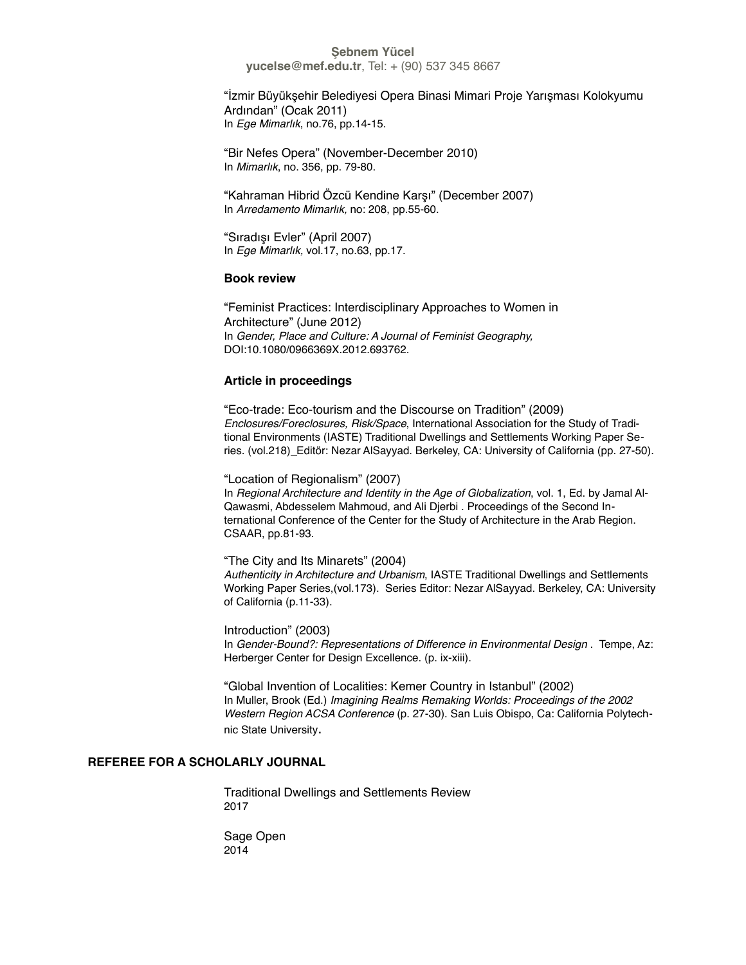"İzmir Büyükşehir Belediyesi Opera Binasi Mimari Proje Yarışması Kolokyumu Ardından" (Ocak 2011) In *Ege Mimarlık*, no.76, pp.14-15.

"Bir Nefes Opera" (November-December 2010) In *Mimarlık*, no. 356, pp. 79-80.

"Kahraman Hibrid Özcü Kendine Karşı" (December 2007) In *Arredamento Mimarlık,* no: 208, pp.55-60.

"Sıradışı Evler" (April 2007) In *Ege Mimarlık,* vol.17, no.63, pp.17.

### **Book review**

"Feminist Practices: Interdisciplinary Approaches to Women in Architecture" (June 2012) In *Gender, Place and Culture: A Journal of Feminist Geography,*  DOI:10.1080/0966369X.2012.693762.

## **Article in proceedings**

"Eco-trade: Eco-tourism and the Discourse on Tradition" (2009) *Enclosures/Foreclosures, Risk/Space*, International Association for the Study of Traditional Environments (IASTE) Traditional Dwellings and Settlements Working Paper Series. (vol.218) Editör: Nezar AlSayyad. Berkeley, CA: University of California (pp. 27-50).

"Location of Regionalism" (2007)

In *Regional Architecture and Identity in the Age of Globalization*, vol. 1, Ed. by Jamal Al-Qawasmi, Abdesselem Mahmoud, and Ali Djerbi . Proceedings of the Second International Conference of the Center for the Study of Architecture in the Arab Region. CSAAR, pp.81-93.

"The City and Its Minarets" (2004)

*Authenticity in Architecture and Urbanism*, IASTE Traditional Dwellings and Settlements Working Paper Series,(vol.173). Series Editor: Nezar AlSayyad. Berkeley, CA: University of California (p.11-33).

Introduction" (2003) In *Gender-Bound?: Representations of Difference in Environmental Design* . Tempe, Az: Herberger Center for Design Excellence. (p. ix-xiii).

"Global Invention of Localities: Kemer Country in Istanbul" (2002) In Muller, Brook (Ed.) *Imagining Realms Remaking Worlds: Proceedings of the 2002 Western Region ACSA Conference* (p. 27-30). San Luis Obispo, Ca: California Polytechnic State University.

## **REFEREE FOR A SCHOLARLY JOURNAL**

Traditional Dwellings and Settlements Review 2017

Sage Open 2014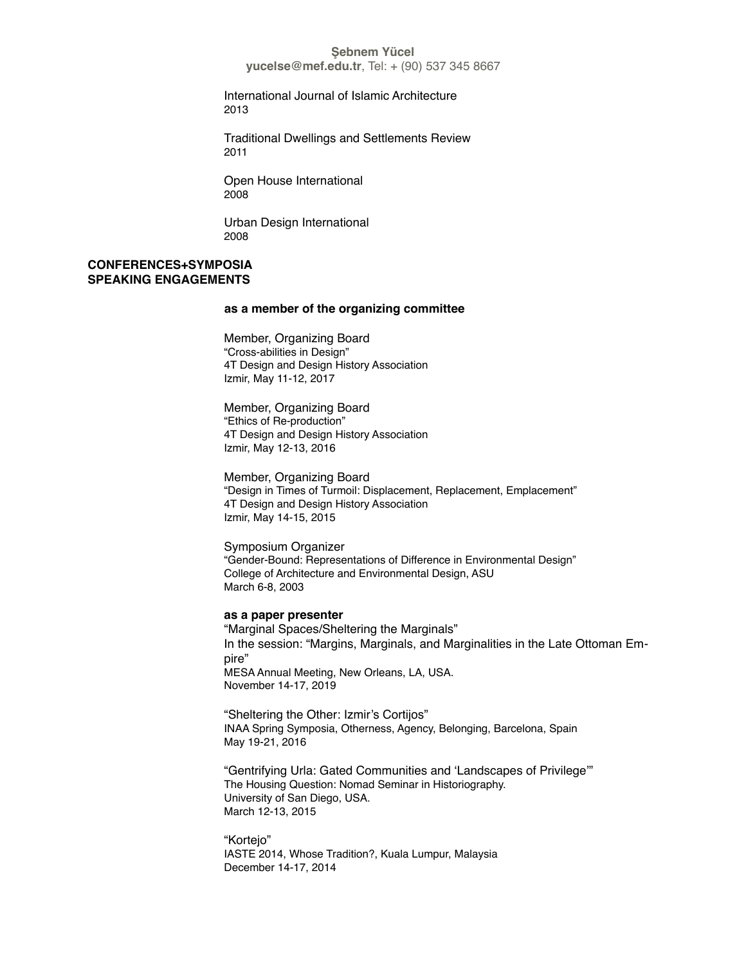**yucelse@mef.edu.tr**, Tel: + (90) 537 345 8667

International Journal of Islamic Architecture 2013

Traditional Dwellings and Settlements Review 2011

Open House International 2008

Urban Design International 2008

## **CONFERENCES+SYMPOSIA SPEAKING ENGAGEMENTS**

### **as a member of the organizing committee**

Member, Organizing Board "Cross-abilities in Design" 4T Design and Design History Association Izmir, May 11-12, 2017

Member, Organizing Board "Ethics of Re-production" 4T Design and Design History Association Izmir, May 12-13, 2016

Member, Organizing Board "Design in Times of Turmoil: Displacement, Replacement, Emplacement" 4T Design and Design History Association Izmir, May 14-15, 2015

Symposium Organizer "Gender-Bound: Representations of Difference in Environmental Design" College of Architecture and Environmental Design, ASU March 6-8, 2003

#### **as a paper presenter**

"Marginal Spaces/Sheltering the Marginals" In the session: "Margins, Marginals, and Marginalities in the Late Ottoman Empire" MESA Annual Meeting, New Orleans, LA, USA. November 14-17, 2019

"Sheltering the Other: Izmir's Cortijos" INAA Spring Symposia, Otherness, Agency, Belonging, Barcelona, Spain May 19-21, 2016

"Gentrifying Urla: Gated Communities and 'Landscapes of Privilege'" The Housing Question: Nomad Seminar in Historiography. University of San Diego, USA. March 12-13, 2015

"Kortejo" IASTE 2014, Whose Tradition?, Kuala Lumpur, Malaysia December 14-17, 2014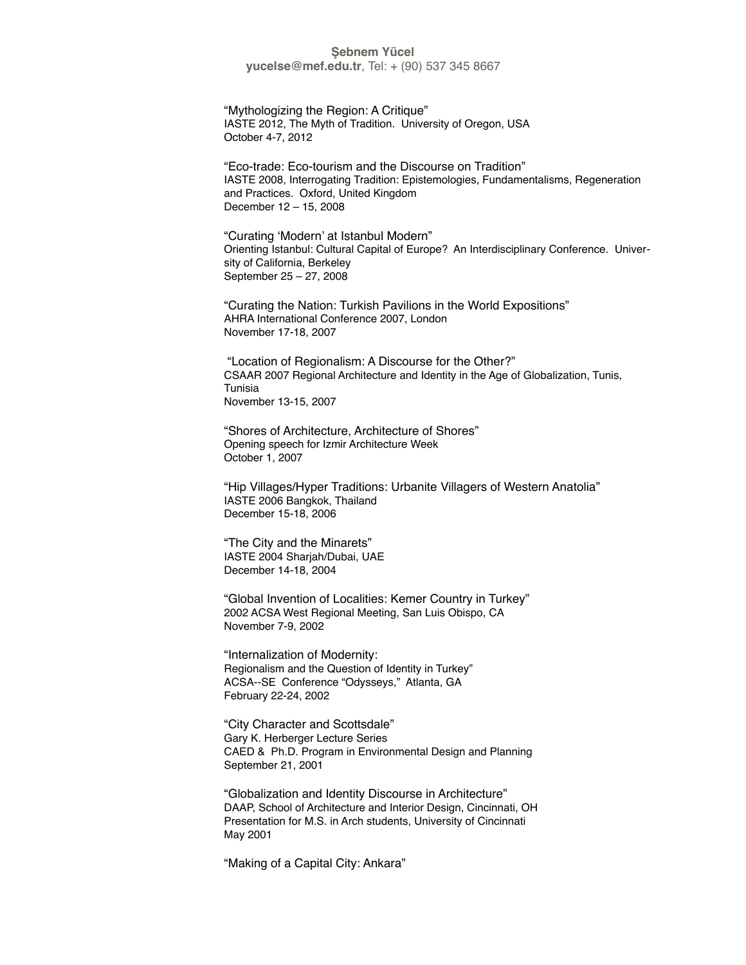"Mythologizing the Region: A Critique" IASTE 2012, The Myth of Tradition. University of Oregon, USA October 4-7, 2012

"Eco-trade: Eco-tourism and the Discourse on Tradition" IASTE 2008, Interrogating Tradition: Epistemologies, Fundamentalisms, Regeneration and Practices. Oxford, United Kingdom December 12 – 15, 2008

"Curating 'Modern' at Istanbul Modern" Orienting Istanbul: Cultural Capital of Europe? An Interdisciplinary Conference. University of California, Berkeley September 25 – 27, 2008

"Curating the Nation: Turkish Pavilions in the World Expositions" AHRA International Conference 2007, London November 17-18, 2007

 "Location of Regionalism: A Discourse for the Other?" CSAAR 2007 Regional Architecture and Identity in the Age of Globalization, Tunis, Tunisia November 13-15, 2007

"Shores of Architecture, Architecture of Shores" Opening speech for Izmir Architecture Week October 1, 2007

"Hip Villages/Hyper Traditions: Urbanite Villagers of Western Anatolia" IASTE 2006 Bangkok, Thailand December 15-18, 2006

"The City and the Minarets" IASTE 2004 Sharjah/Dubai, UAE December 14-18, 2004

"Global Invention of Localities: Kemer Country in Turkey" 2002 ACSA West Regional Meeting, San Luis Obispo, CA November 7-9, 2002

"Internalization of Modernity: Regionalism and the Question of Identity in Turkey" ACSA--SE Conference "Odysseys," Atlanta, GA February 22-24, 2002

"City Character and Scottsdale" Gary K. Herberger Lecture Series CAED & Ph.D. Program in Environmental Design and Planning September 21, 2001

"Globalization and Identity Discourse in Architecture" DAAP, School of Architecture and Interior Design, Cincinnati, OH Presentation for M.S. in Arch students, University of Cincinnati May 2001

"Making of a Capital City: Ankara"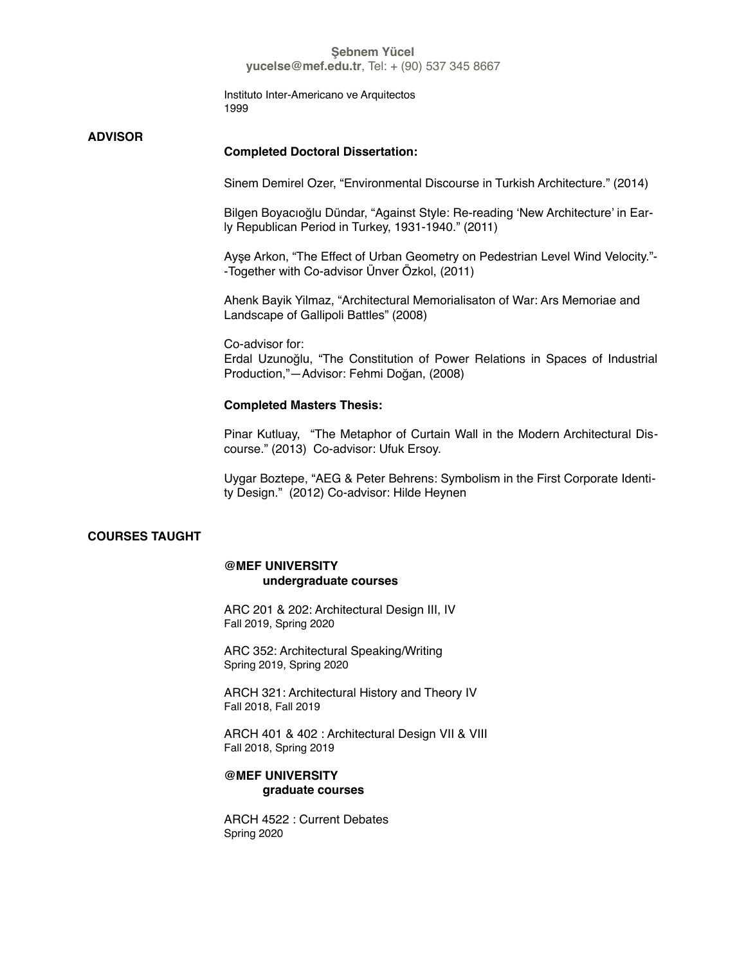Instituto Inter-Americano ve Arquitectos 1999

## **ADVISOR**

### **Completed Doctoral Dissertation:**

Sinem Demirel Ozer, "Environmental Discourse in Turkish Architecture." (2014)

Bilgen Boyacıoğlu Dündar, "Against Style: Re-reading 'New Architecture' in Early Republican Period in Turkey, 1931-1940." (2011)

Ayşe Arkon, "The Effect of Urban Geometry on Pedestrian Level Wind Velocity."- -Together with Co-advisor Ünver Özkol, (2011)

Ahenk Bayik Yilmaz, "Architectural Memorialisaton of War: Ars Memoriae and Landscape of Gallipoli Battles" (2008)

Co-advisor for: Erdal Uzunoğlu, "The Constitution of Power Relations in Spaces of Industrial Production,"—Advisor: Fehmi Doğan, (2008)

### **Completed Masters Thesis:**

Pinar Kutluay, "The Metaphor of Curtain Wall in the Modern Architectural Discourse." (2013) Co-advisor: Ufuk Ersoy.

Uygar Boztepe, "AEG & Peter Behrens: Symbolism in the First Corporate Identity Design." (2012) Co-advisor: Hilde Heynen

## **COURSES TAUGHT**

### **@MEF UNIVERSITY undergraduate courses**

ARC 201 & 202: Architectural Design III, IV Fall 2019, Spring 2020

ARC 352: Architectural Speaking/Writing Spring 2019, Spring 2020

ARCH 321: Architectural History and Theory IV Fall 2018, Fall 2019

ARCH 401 & 402 : Architectural Design VII & VIII Fall 2018, Spring 2019

## **@MEF UNIVERSITY graduate courses**

ARCH 4522 : Current Debates Spring 2020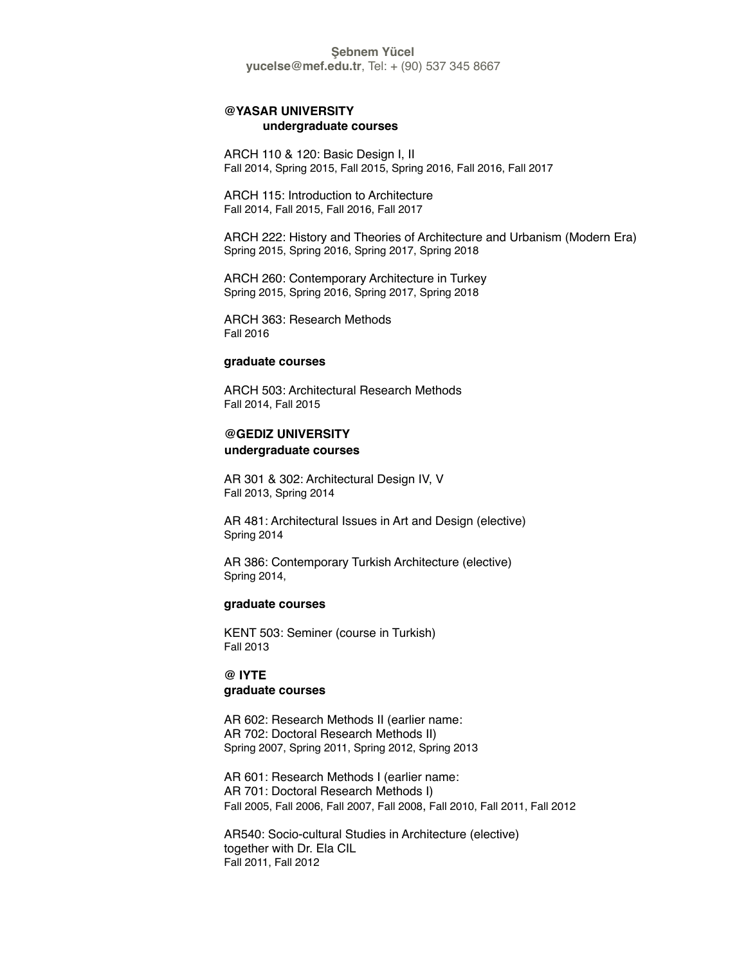### **@YASAR UNIVERSITY undergraduate courses**

ARCH 110 & 120: Basic Design I, II Fall 2014, Spring 2015, Fall 2015, Spring 2016, Fall 2016, Fall 2017

ARCH 115: Introduction to Architecture Fall 2014, Fall 2015, Fall 2016, Fall 2017

ARCH 222: History and Theories of Architecture and Urbanism (Modern Era) Spring 2015, Spring 2016, Spring 2017, Spring 2018

ARCH 260: Contemporary Architecture in Turkey Spring 2015, Spring 2016, Spring 2017, Spring 2018

ARCH 363: Research Methods Fall 2016

### **graduate courses**

ARCH 503: Architectural Research Methods Fall 2014, Fall 2015

## **@GEDIZ UNIVERSITY undergraduate courses**

AR 301 & 302: Architectural Design IV, V Fall 2013, Spring 2014

AR 481: Architectural Issues in Art and Design (elective) Spring 2014

AR 386: Contemporary Turkish Architecture (elective) Spring 2014,

### **graduate courses**

KENT 503: Seminer (course in Turkish) Fall 2013

## **@ IYTE graduate courses**

AR 602: Research Methods II (earlier name: AR 702: Doctoral Research Methods II) Spring 2007, Spring 2011, Spring 2012, Spring 2013

AR 601: Research Methods I (earlier name: AR 701: Doctoral Research Methods I) Fall 2005, Fall 2006, Fall 2007, Fall 2008, Fall 2010, Fall 2011, Fall 2012

AR540: Socio-cultural Studies in Architecture (elective) together with Dr. Ela CIL Fall 2011, Fall 2012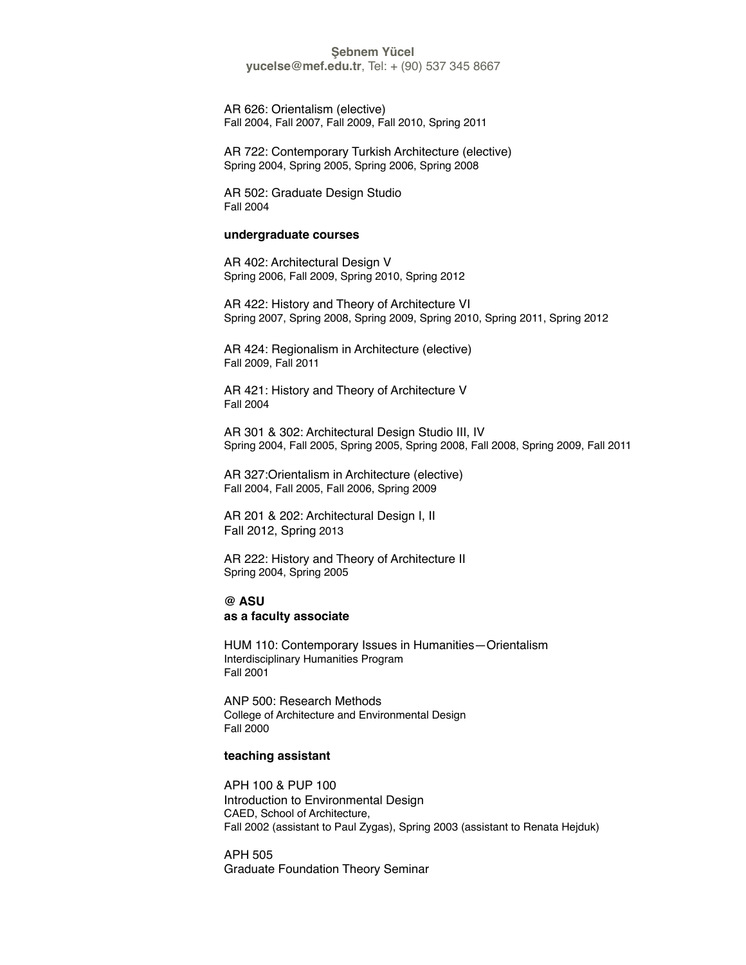**yucelse@mef.edu.tr**, Tel: + (90) 537 345 8667

AR 626: Orientalism (elective) Fall 2004, Fall 2007, Fall 2009, Fall 2010, Spring 2011

AR 722: Contemporary Turkish Architecture (elective) Spring 2004, Spring 2005, Spring 2006, Spring 2008

AR 502: Graduate Design Studio Fall 2004

#### **undergraduate courses**

AR 402: Architectural Design V Spring 2006, Fall 2009, Spring 2010, Spring 2012

AR 422: History and Theory of Architecture VI Spring 2007, Spring 2008, Spring 2009, Spring 2010, Spring 2011, Spring 2012

AR 424: Regionalism in Architecture (elective) Fall 2009, Fall 2011

AR 421: History and Theory of Architecture V Fall 2004

AR 301 & 302: Architectural Design Studio III, IV Spring 2004, Fall 2005, Spring 2005, Spring 2008, Fall 2008, Spring 2009, Fall 2011

AR 327:Orientalism in Architecture (elective) Fall 2004, Fall 2005, Fall 2006, Spring 2009

AR 201 & 202: Architectural Design I, II Fall 2012, Spring 2013

AR 222: History and Theory of Architecture II Spring 2004, Spring 2005

**@ ASU as a faculty associate**

HUM 110: Contemporary Issues in Humanities—Orientalism Interdisciplinary Humanities Program Fall 2001

ANP 500: Research Methods College of Architecture and Environmental Design Fall 2000

### **teaching assistant**

APH 100 & PUP 100 Introduction to Environmental Design CAED, School of Architecture, Fall 2002 (assistant to Paul Zygas), Spring 2003 (assistant to Renata Hejduk)

APH 505 Graduate Foundation Theory Seminar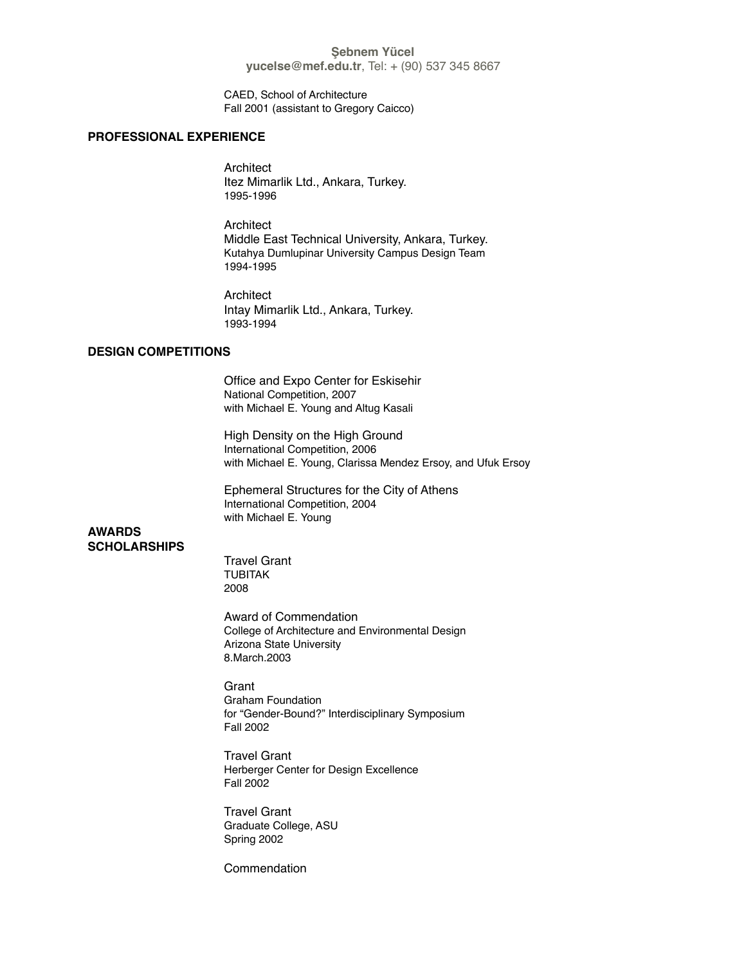CAED, School of Architecture Fall 2001 (assistant to Gregory Caicco)

### **PROFESSIONAL EXPERIENCE**

**Architect** Itez Mimarlik Ltd., Ankara, Turkey. 1995-1996

Architect Middle East Technical University, Ankara, Turkey. Kutahya Dumlupinar University Campus Design Team 1994-1995

**Architect** Intay Mimarlik Ltd., Ankara, Turkey. 1993-1994

## **DESIGN COMPETITIONS**

Office and Expo Center for Eskisehir National Competition, 2007 with Michael E. Young and Altug Kasali

High Density on the High Ground International Competition, 2006 with Michael E. Young, Clarissa Mendez Ersoy, and Ufuk Ersoy

Ephemeral Structures for the City of Athens International Competition, 2004 with Michael E. Young

## **AWARDS SCHOLARSHIPS**

Travel Grant TUBITAK 2008

Award of Commendation College of Architecture and Environmental Design Arizona State University 8.March.2003

**Grant** Graham Foundation for "Gender-Bound?" Interdisciplinary Symposium Fall 2002

Travel Grant Herberger Center for Design Excellence Fall 2002

Travel Grant Graduate College, ASU Spring 2002

Commendation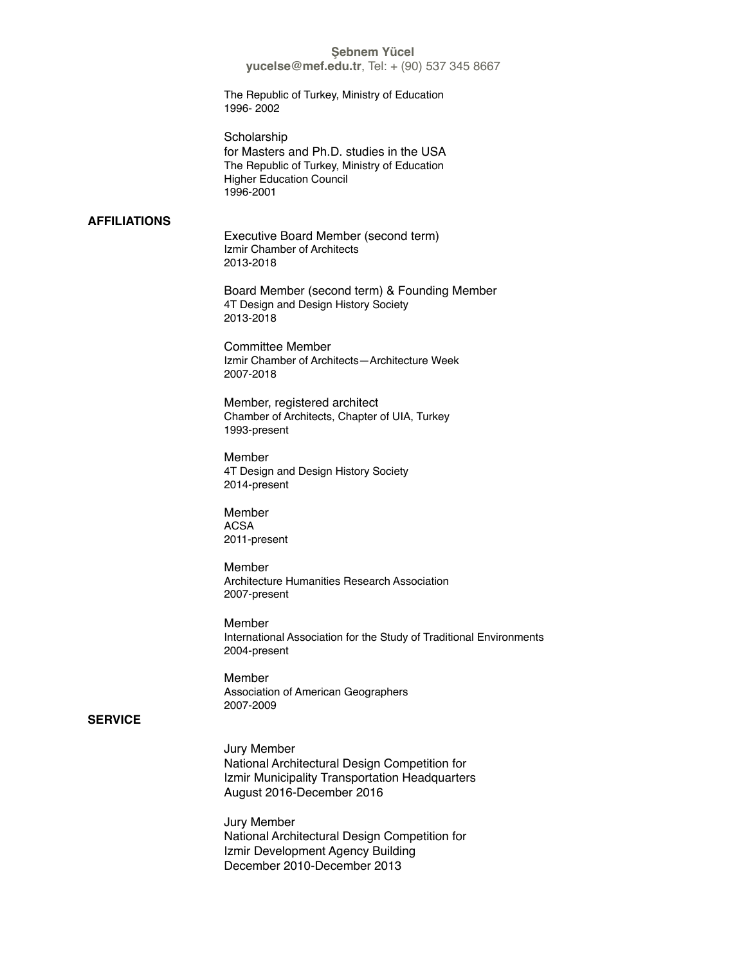**yucelse@mef.edu.tr**, Tel: + (90) 537 345 8667

The Republic of Turkey, Ministry of Education 1996- 2002

**Scholarship** for Masters and Ph.D. studies in the USA The Republic of Turkey, Ministry of Education Higher Education Council 1996-2001

## **AFFILIATIONS**

Executive Board Member (second term) Izmir Chamber of Architects 2013-2018

Board Member (second term) & Founding Member 4T Design and Design History Society 2013-2018

Committee Member Izmir Chamber of Architects—Architecture Week 2007-2018

Member, registered architect Chamber of Architects, Chapter of UIA, Turkey 1993-present

Member 4T Design and Design History Society 2014-present

Member ACSA 2011-present

Member Architecture Humanities Research Association 2007-present

Member International Association for the Study of Traditional Environments 2004-present

Member Association of American Geographers 2007-2009

## **SERVICE**

Jury Member National Architectural Design Competition for Izmir Municipality Transportation Headquarters August 2016-December 2016

Jury Member National Architectural Design Competition for Izmir Development Agency Building December 2010-December 2013